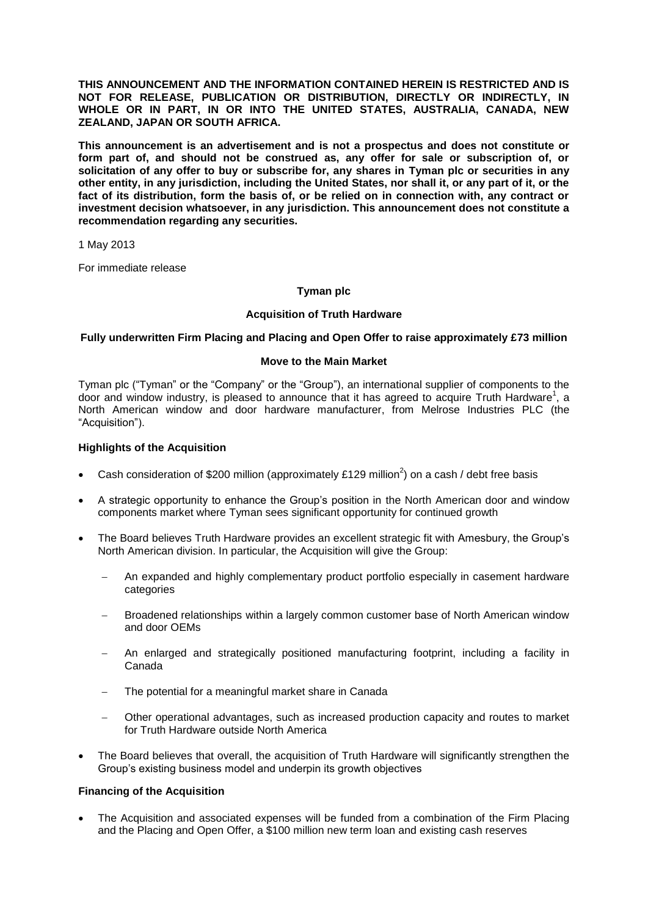**THIS ANNOUNCEMENT AND THE INFORMATION CONTAINED HEREIN IS RESTRICTED AND IS NOT FOR RELEASE, PUBLICATION OR DISTRIBUTION, DIRECTLY OR INDIRECTLY, IN WHOLE OR IN PART, IN OR INTO THE UNITED STATES, AUSTRALIA, CANADA, NEW ZEALAND, JAPAN OR SOUTH AFRICA.**

**This announcement is an advertisement and is not a prospectus and does not constitute or form part of, and should not be construed as, any offer for sale or subscription of, or solicitation of any offer to buy or subscribe for, any shares in Tyman plc or securities in any other entity, in any jurisdiction, including the United States, nor shall it, or any part of it, or the fact of its distribution, form the basis of, or be relied on in connection with, any contract or investment decision whatsoever, in any jurisdiction. This announcement does not constitute a recommendation regarding any securities.**

1 May 2013

For immediate release

# **Tyman plc**

# **Acquisition of Truth Hardware**

# **Fully underwritten Firm Placing and Placing and Open Offer to raise approximately £73 million**

#### **Move to the Main Market**

Tyman plc ("Tyman" or the "Company" or the "Group"), an international supplier of components to the door and window industry, is pleased to announce that it has agreed to acquire Truth Hardware<sup>1</sup>, a North American window and door hardware manufacturer, from Melrose Industries PLC (the "Acquisition").

# **Highlights of the Acquisition**

- Cash consideration of \$200 million (approximately £129 million<sup>2</sup>) on a cash / debt free basis
- A strategic opportunity to enhance the Group's position in the North American door and window components market where Tyman sees significant opportunity for continued growth
- The Board believes Truth Hardware provides an excellent strategic fit with Amesbury, the Group's North American division. In particular, the Acquisition will give the Group:
	- An expanded and highly complementary product portfolio especially in casement hardware categories
	- Broadened relationships within a largely common customer base of North American window and door OEMs
	- An enlarged and strategically positioned manufacturing footprint, including a facility in Canada
	- The potential for a meaningful market share in Canada
	- Other operational advantages, such as increased production capacity and routes to market for Truth Hardware outside North America
- The Board believes that overall, the acquisition of Truth Hardware will significantly strengthen the Group's existing business model and underpin its growth objectives

## **Financing of the Acquisition**

 The Acquisition and associated expenses will be funded from a combination of the Firm Placing and the Placing and Open Offer, a \$100 million new term loan and existing cash reserves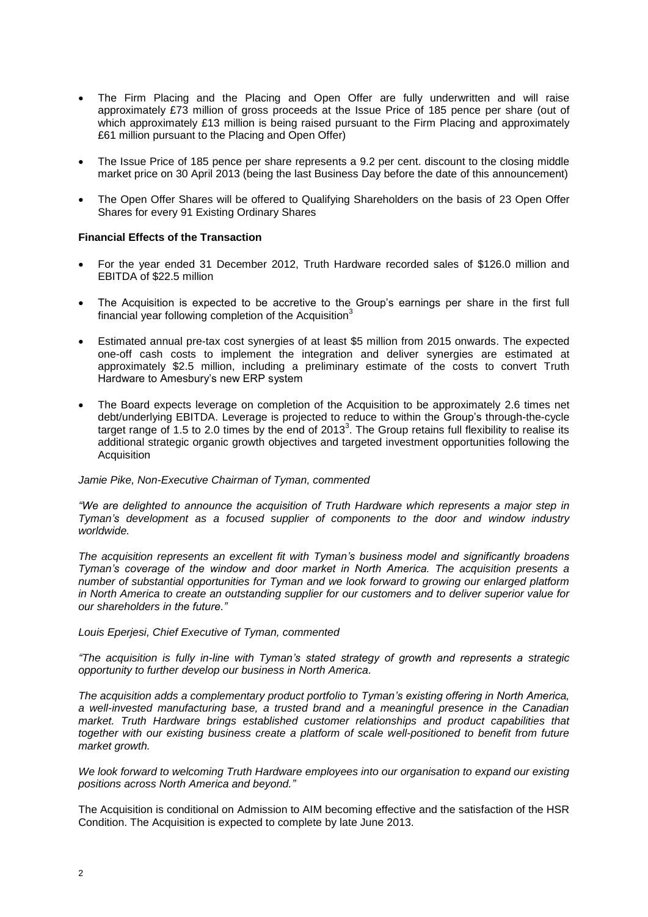- The Firm Placing and the Placing and Open Offer are fully underwritten and will raise approximately £73 million of gross proceeds at the Issue Price of 185 pence per share (out of which approximately £13 million is being raised pursuant to the Firm Placing and approximately £61 million pursuant to the Placing and Open Offer)
- The Issue Price of 185 pence per share represents a 9.2 per cent. discount to the closing middle market price on 30 April 2013 (being the last Business Day before the date of this announcement)
- The Open Offer Shares will be offered to Qualifying Shareholders on the basis of 23 Open Offer Shares for every 91 Existing Ordinary Shares

#### **Financial Effects of the Transaction**

- For the year ended 31 December 2012, Truth Hardware recorded sales of \$126.0 million and EBITDA of \$22.5 million
- The Acquisition is expected to be accretive to the Group's earnings per share in the first full financial year following completion of the Acquisition<sup>3</sup>
- Estimated annual pre-tax cost synergies of at least \$5 million from 2015 onwards. The expected one-off cash costs to implement the integration and deliver synergies are estimated at approximately \$2.5 million, including a preliminary estimate of the costs to convert Truth Hardware to Amesbury's new ERP system
- The Board expects leverage on completion of the Acquisition to be approximately 2.6 times net debt/underlying EBITDA. Leverage is projected to reduce to within the Group's through-the-cycle target range of 1.5 to 2.0 times by the end of 2013<sup>3</sup>. The Group retains full flexibility to realise its additional strategic organic growth objectives and targeted investment opportunities following the Acquisition

#### *Jamie Pike, Non-Executive Chairman of Tyman, commented*

*"We are delighted to announce the acquisition of Truth Hardware which represents a major step in Tyman's development as a focused supplier of components to the door and window industry worldwide.* 

*The acquisition represents an excellent fit with Tyman's business model and significantly broadens Tyman's coverage of the window and door market in North America. The acquisition presents a number of substantial opportunities for Tyman and we look forward to growing our enlarged platform in North America to create an outstanding supplier for our customers and to deliver superior value for our shareholders in the future."*

#### *Louis Eperjesi, Chief Executive of Tyman, commented*

*"The acquisition is fully in-line with Tyman's stated strategy of growth and represents a strategic opportunity to further develop our business in North America.*

*The acquisition adds a complementary product portfolio to Tyman's existing offering in North America, a well-invested manufacturing base, a trusted brand and a meaningful presence in the Canadian market. Truth Hardware brings established customer relationships and product capabilities that together with our existing business create a platform of scale well-positioned to benefit from future market growth.*

#### *We look forward to welcoming Truth Hardware employees into our organisation to expand our existing positions across North America and beyond."*

The Acquisition is conditional on Admission to AIM becoming effective and the satisfaction of the HSR Condition. The Acquisition is expected to complete by late June 2013.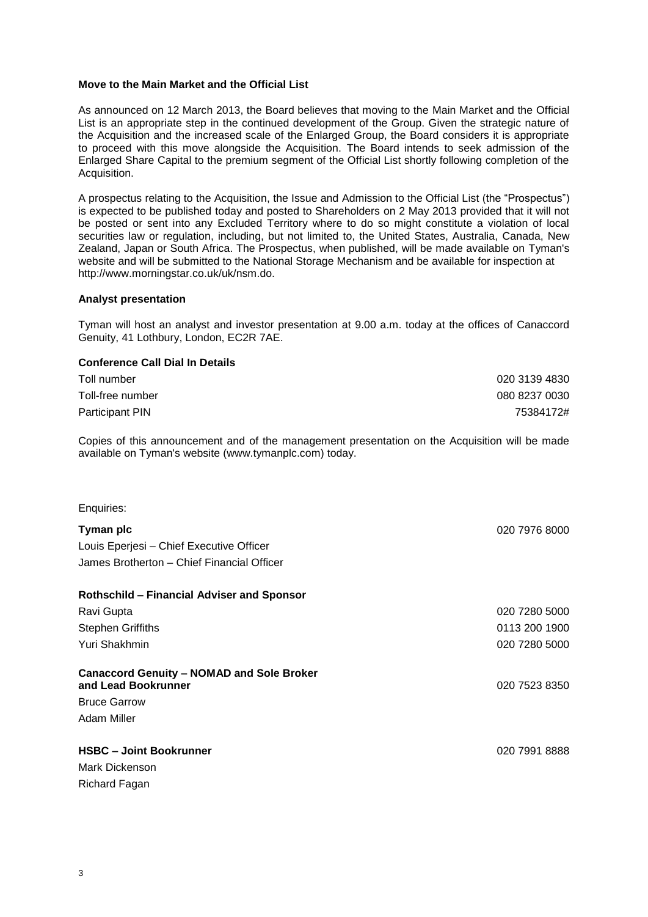## **Move to the Main Market and the Official List**

As announced on 12 March 2013, the Board believes that moving to the Main Market and the Official List is an appropriate step in the continued development of the Group. Given the strategic nature of the Acquisition and the increased scale of the Enlarged Group, the Board considers it is appropriate to proceed with this move alongside the Acquisition. The Board intends to seek admission of the Enlarged Share Capital to the premium segment of the Official List shortly following completion of the Acquisition.

A prospectus relating to the Acquisition, the Issue and Admission to the Official List (the "Prospectus") is expected to be published today and posted to Shareholders on 2 May 2013 provided that it will not be posted or sent into any Excluded Territory where to do so might constitute a violation of local securities law or regulation, including, but not limited to, the United States, Australia, Canada, New Zealand, Japan or South Africa. The Prospectus, when published, will be made available on Tyman's website and will be submitted to the National Storage Mechanism and be available for inspection at http://www.morningstar.co.uk/uk/nsm.do.

#### **Analyst presentation**

Tyman will host an analyst and investor presentation at 9.00 a.m. today at the offices of Canaccord Genuity, 41 Lothbury, London, EC2R 7AE.

# **Conference Call Dial In Details**

| Toll number      | 020 3139 4830 |
|------------------|---------------|
| Toll-free number | 080 8237 0030 |
| Participant PIN  | 75384172#     |

Copies of this announcement and of the management presentation on the Acquisition will be made available on Tyman's website (www.tymanplc.com) today.

Enquiries:

| Tyman plc<br>Louis Eperjesi – Chief Executive Officer<br>James Brotherton - Chief Financial Officer | 020 7976 8000 |
|-----------------------------------------------------------------------------------------------------|---------------|
| <b>Rothschild - Financial Adviser and Sponsor</b>                                                   |               |
| Ravi Gupta                                                                                          | 020 7280 5000 |
| <b>Stephen Griffiths</b>                                                                            | 0113 200 1900 |
| Yuri Shakhmin                                                                                       | 020 7280 5000 |
| <b>Canaccord Genuity - NOMAD and Sole Broker</b><br>and Lead Bookrunner                             | 020 7523 8350 |
| <b>Bruce Garrow</b>                                                                                 |               |
| Adam Miller                                                                                         |               |
| <b>HSBC - Joint Bookrunner</b><br>Mark Dickenson<br>Richard Fagan                                   | 020 7991 8888 |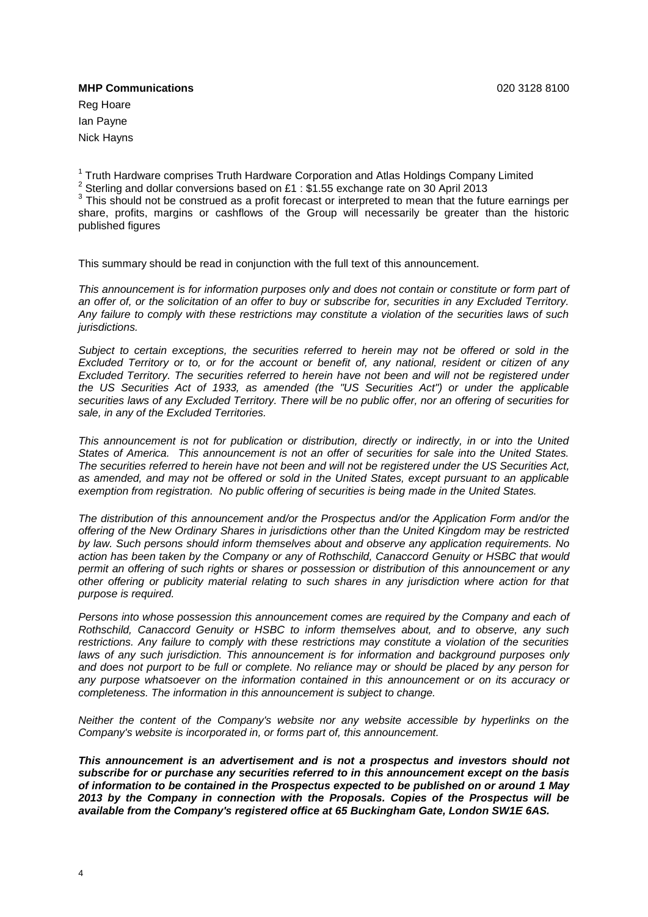### **MHP Communications** 020 3128 8100

Reg Hoare Ian Payne Nick Hayns

<sup>1</sup> Truth Hardware comprises Truth Hardware Corporation and Atlas Holdings Company Limited <sup>2</sup> Sterling and dollar conversions based on £1 : \$1.55 exchange rate on 30 April 2013

 $3$  This should not be construed as a profit forecast or interpreted to mean that the future earnings per share, profits, margins or cashflows of the Group will necessarily be greater than the historic published figures

This summary should be read in conjunction with the full text of this announcement.

*This announcement is for information purposes only and does not contain or constitute or form part of an offer of, or the solicitation of an offer to buy or subscribe for, securities in any Excluded Territory. Any failure to comply with these restrictions may constitute a violation of the securities laws of such jurisdictions.*

*Subject to certain exceptions, the securities referred to herein may not be offered or sold in the Excluded Territory or to, or for the account or benefit of, any national, resident or citizen of any Excluded Territory. The securities referred to herein have not been and will not be registered under the US Securities Act of 1933, as amended (the "US Securities Act") or under the applicable securities laws of any Excluded Territory. There will be no public offer, nor an offering of securities for sale, in any of the Excluded Territories.* 

*This announcement is not for publication or distribution, directly or indirectly, in or into the United States of America. This announcement is not an offer of securities for sale into the United States. The securities referred to herein have not been and will not be registered under the US Securities Act, as amended, and may not be offered or sold in the United States, except pursuant to an applicable exemption from registration. No public offering of securities is being made in the United States.*

*The distribution of this announcement and/or the Prospectus and/or the Application Form and/or the offering of the New Ordinary Shares in jurisdictions other than the United Kingdom may be restricted by law. Such persons should inform themselves about and observe any application requirements. No action has been taken by the Company or any of Rothschild, Canaccord Genuity or HSBC that would permit an offering of such rights or shares or possession or distribution of this announcement or any other offering or publicity material relating to such shares in any jurisdiction where action for that purpose is required.* 

*Persons into whose possession this announcement comes are required by the Company and each of Rothschild, Canaccord Genuity or HSBC to inform themselves about, and to observe, any such restrictions. Any failure to comply with these restrictions may constitute a violation of the securities laws of any such jurisdiction. This announcement is for information and background purposes only and does not purport to be full or complete. No reliance may or should be placed by any person for any purpose whatsoever on the information contained in this announcement or on its accuracy or completeness. The information in this announcement is subject to change.*

*Neither the content of the Company's website nor any website accessible by hyperlinks on the Company's website is incorporated in, or forms part of, this announcement.* 

*This announcement is an advertisement and is not a prospectus and investors should not subscribe for or purchase any securities referred to in this announcement except on the basis of information to be contained in the Prospectus expected to be published on or around 1 May 2013 by the Company in connection with the Proposals. Copies of the Prospectus will be available from the Company's registered office at 65 Buckingham Gate, London SW1E 6AS.*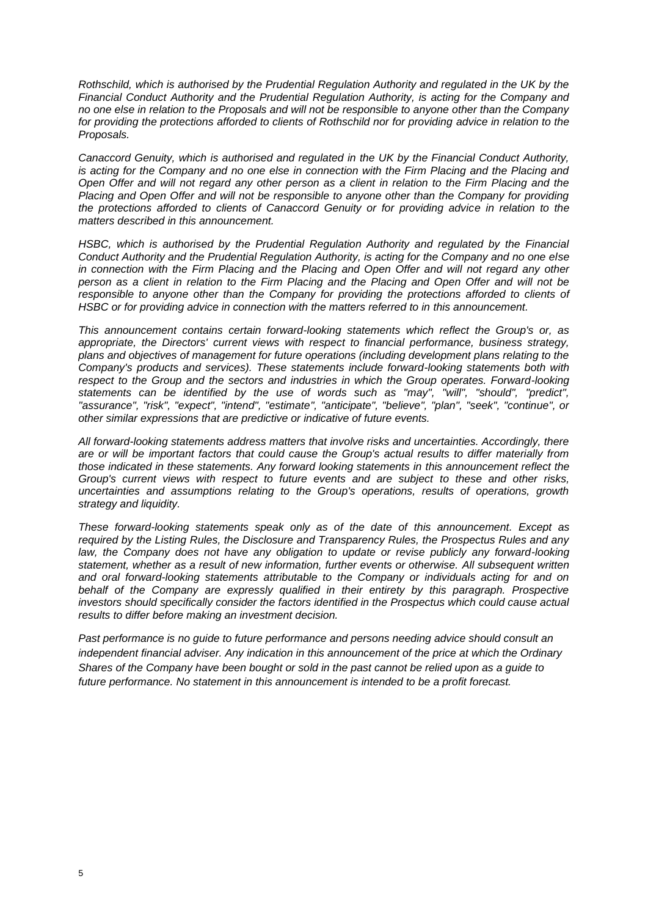*Rothschild, which is authorised by the Prudential Regulation Authority and regulated in the UK by the Financial Conduct Authority and the Prudential Regulation Authority, is acting for the Company and no one else in relation to the Proposals and will not be responsible to anyone other than the Company for providing the protections afforded to clients of Rothschild nor for providing advice in relation to the Proposals.* 

*Canaccord Genuity, which is authorised and regulated in the UK by the Financial Conduct Authority, is acting for the Company and no one else in connection with the Firm Placing and the Placing and Open Offer and will not regard any other person as a client in relation to the Firm Placing and the Placing and Open Offer and will not be responsible to anyone other than the Company for providing the protections afforded to clients of Canaccord Genuity or for providing advice in relation to the matters described in this announcement.*

*HSBC, which is authorised by the Prudential Regulation Authority and regulated by the Financial Conduct Authority and the Prudential Regulation Authority, is acting for the Company and no one else in connection with the Firm Placing and the Placing and Open Offer and will not regard any other person as a client in relation to the Firm Placing and the Placing and Open Offer and will not be responsible to anyone other than the Company for providing the protections afforded to clients of HSBC or for providing advice in connection with the matters referred to in this announcement.*

*This announcement contains certain forward-looking statements which reflect the Group's or, as appropriate, the Directors' current views with respect to financial performance, business strategy, plans and objectives of management for future operations (including development plans relating to the Company's products and services). These statements include forward-looking statements both with*  respect to the Group and the sectors and industries in which the Group operates. Forward-looking *statements can be identified by the use of words such as "may", "will", "should", "predict", "assurance", "risk", "expect", "intend", "estimate", "anticipate", "believe", "plan", "seek", "continue", or other similar expressions that are predictive or indicative of future events.*

*All forward-looking statements address matters that involve risks and uncertainties. Accordingly, there are or will be important factors that could cause the Group's actual results to differ materially from those indicated in these statements. Any forward looking statements in this announcement reflect the Group's current views with respect to future events and are subject to these and other risks, uncertainties and assumptions relating to the Group's operations, results of operations, growth strategy and liquidity.*

*These forward-looking statements speak only as of the date of this announcement. Except as required by the Listing Rules, the Disclosure and Transparency Rules, the Prospectus Rules and any*  law, the Company does not have any obligation to update or revise publicly any forward-looking *statement, whether as a result of new information, further events or otherwise. All subsequent written and oral forward-looking statements attributable to the Company or individuals acting for and on behalf of the Company are expressly qualified in their entirety by this paragraph. Prospective investors should specifically consider the factors identified in the Prospectus which could cause actual results to differ before making an investment decision.*

*Past performance is no guide to future performance and persons needing advice should consult an independent financial adviser. Any indication in this announcement of the price at which the Ordinary Shares of the Company have been bought or sold in the past cannot be relied upon as a guide to future performance. No statement in this announcement is intended to be a profit forecast.*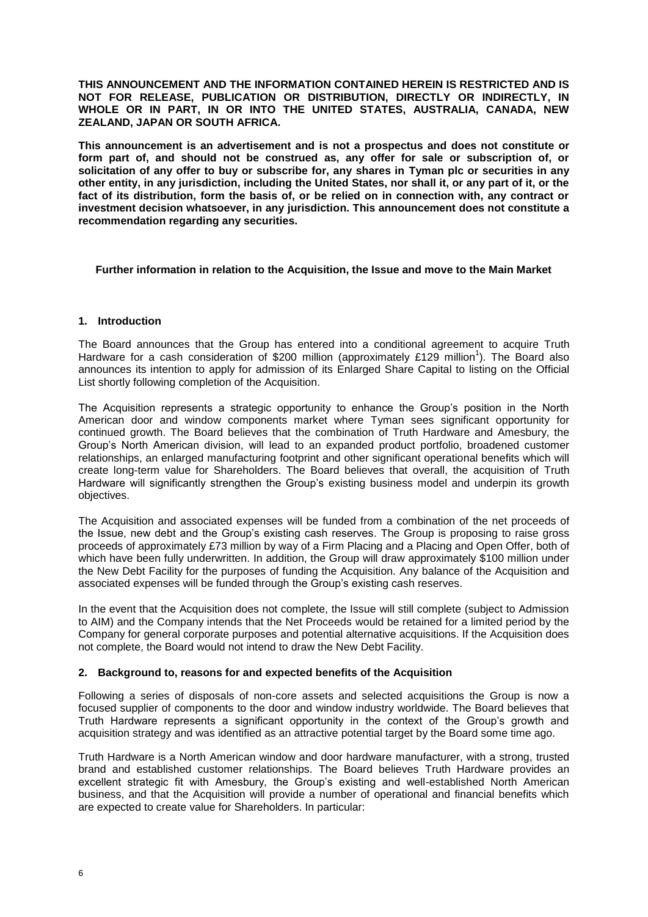**THIS ANNOUNCEMENT AND THE INFORMATION CONTAINED HEREIN IS RESTRICTED AND IS NOT FOR RELEASE, PUBLICATION OR DISTRIBUTION, DIRECTLY OR INDIRECTLY, IN WHOLE OR IN PART, IN OR INTO THE UNITED STATES, AUSTRALIA, CANADA, NEW ZEALAND, JAPAN OR SOUTH AFRICA.**

**This announcement is an advertisement and is not a prospectus and does not constitute or form part of, and should not be construed as, any offer for sale or subscription of, or solicitation of any offer to buy or subscribe for, any shares in Tyman plc or securities in any other entity, in any jurisdiction, including the United States, nor shall it, or any part of it, or the fact of its distribution, form the basis of, or be relied on in connection with, any contract or investment decision whatsoever, in any jurisdiction. This announcement does not constitute a recommendation regarding any securities.**

#### **Further information in relation to the Acquisition, the Issue and move to the Main Market**

# **1. Introduction**

The Board announces that the Group has entered into a conditional agreement to acquire Truth Hardware for a cash consideration of \$200 million (approximately £129 million<sup>1</sup>). The Board also announces its intention to apply for admission of its Enlarged Share Capital to listing on the Official List shortly following completion of the Acquisition.

The Acquisition represents a strategic opportunity to enhance the Group's position in the North American door and window components market where Tyman sees significant opportunity for continued growth. The Board believes that the combination of Truth Hardware and Amesbury, the Group's North American division, will lead to an expanded product portfolio, broadened customer relationships, an enlarged manufacturing footprint and other significant operational benefits which will create long-term value for Shareholders. The Board believes that overall, the acquisition of Truth Hardware will significantly strengthen the Group's existing business model and underpin its growth objectives.

The Acquisition and associated expenses will be funded from a combination of the net proceeds of the Issue, new debt and the Group's existing cash reserves. The Group is proposing to raise gross proceeds of approximately £73 million by way of a Firm Placing and a Placing and Open Offer, both of which have been fully underwritten. In addition, the Group will draw approximately \$100 million under the New Debt Facility for the purposes of funding the Acquisition. Any balance of the Acquisition and associated expenses will be funded through the Group's existing cash reserves.

In the event that the Acquisition does not complete, the Issue will still complete (subject to Admission to AIM) and the Company intends that the Net Proceeds would be retained for a limited period by the Company for general corporate purposes and potential alternative acquisitions. If the Acquisition does not complete, the Board would not intend to draw the New Debt Facility.

#### **2. Background to, reasons for and expected benefits of the Acquisition**

Following a series of disposals of non-core assets and selected acquisitions the Group is now a focused supplier of components to the door and window industry worldwide. The Board believes that Truth Hardware represents a significant opportunity in the context of the Group's growth and acquisition strategy and was identified as an attractive potential target by the Board some time ago.

Truth Hardware is a North American window and door hardware manufacturer, with a strong, trusted brand and established customer relationships. The Board believes Truth Hardware provides an excellent strategic fit with Amesbury, the Group's existing and well-established North American business, and that the Acquisition will provide a number of operational and financial benefits which are expected to create value for Shareholders. In particular: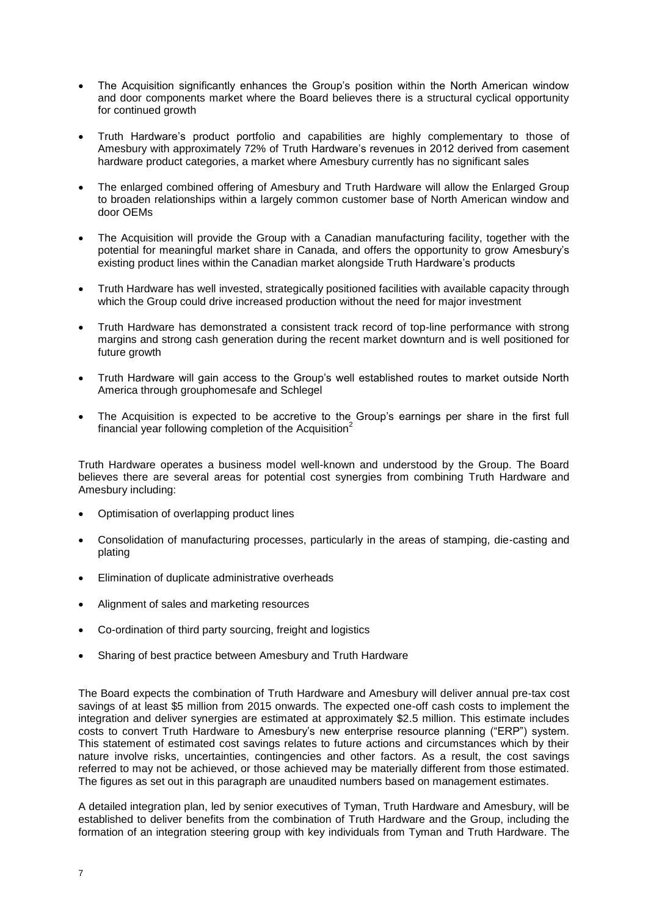- The Acquisition significantly enhances the Group's position within the North American window and door components market where the Board believes there is a structural cyclical opportunity for continued growth
- Truth Hardware's product portfolio and capabilities are highly complementary to those of Amesbury with approximately 72% of Truth Hardware's revenues in 2012 derived from casement hardware product categories, a market where Amesbury currently has no significant sales
- The enlarged combined offering of Amesbury and Truth Hardware will allow the Enlarged Group to broaden relationships within a largely common customer base of North American window and door OEMs
- The Acquisition will provide the Group with a Canadian manufacturing facility, together with the potential for meaningful market share in Canada, and offers the opportunity to grow Amesbury's existing product lines within the Canadian market alongside Truth Hardware's products
- Truth Hardware has well invested, strategically positioned facilities with available capacity through which the Group could drive increased production without the need for major investment
- Truth Hardware has demonstrated a consistent track record of top-line performance with strong margins and strong cash generation during the recent market downturn and is well positioned for future growth
- Truth Hardware will gain access to the Group's well established routes to market outside North America through grouphomesafe and Schlegel
- The Acquisition is expected to be accretive to the Group's earnings per share in the first full financial year following completion of the Acquisition<sup>2</sup>

Truth Hardware operates a business model well-known and understood by the Group. The Board believes there are several areas for potential cost synergies from combining Truth Hardware and Amesbury including:

- Optimisation of overlapping product lines
- Consolidation of manufacturing processes, particularly in the areas of stamping, die-casting and plating
- Elimination of duplicate administrative overheads
- Alignment of sales and marketing resources
- Co-ordination of third party sourcing, freight and logistics
- Sharing of best practice between Amesbury and Truth Hardware

The Board expects the combination of Truth Hardware and Amesbury will deliver annual pre-tax cost savings of at least \$5 million from 2015 onwards. The expected one-off cash costs to implement the integration and deliver synergies are estimated at approximately \$2.5 million. This estimate includes costs to convert Truth Hardware to Amesbury's new enterprise resource planning ("ERP") system. This statement of estimated cost savings relates to future actions and circumstances which by their nature involve risks, uncertainties, contingencies and other factors. As a result, the cost savings referred to may not be achieved, or those achieved may be materially different from those estimated. The figures as set out in this paragraph are unaudited numbers based on management estimates.

A detailed integration plan, led by senior executives of Tyman, Truth Hardware and Amesbury, will be established to deliver benefits from the combination of Truth Hardware and the Group, including the formation of an integration steering group with key individuals from Tyman and Truth Hardware. The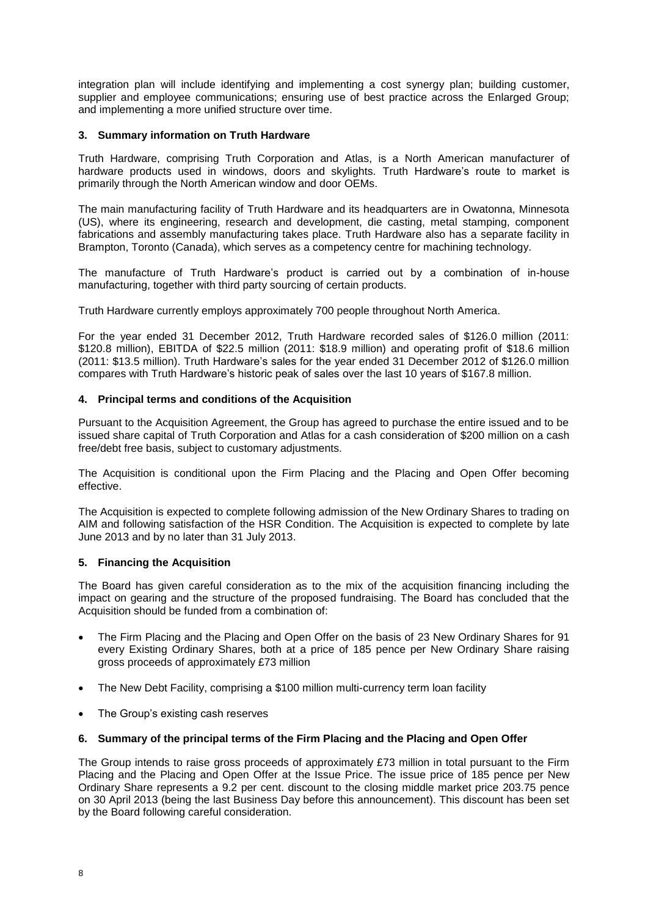integration plan will include identifying and implementing a cost synergy plan; building customer, supplier and employee communications; ensuring use of best practice across the Enlarged Group; and implementing a more unified structure over time.

# **3. Summary information on Truth Hardware**

Truth Hardware, comprising Truth Corporation and Atlas, is a North American manufacturer of hardware products used in windows, doors and skylights. Truth Hardware's route to market is primarily through the North American window and door OEMs.

The main manufacturing facility of Truth Hardware and its headquarters are in Owatonna, Minnesota (US), where its engineering, research and development, die casting, metal stamping, component fabrications and assembly manufacturing takes place. Truth Hardware also has a separate facility in Brampton, Toronto (Canada), which serves as a competency centre for machining technology.

The manufacture of Truth Hardware's product is carried out by a combination of in-house manufacturing, together with third party sourcing of certain products.

Truth Hardware currently employs approximately 700 people throughout North America.

For the year ended 31 December 2012, Truth Hardware recorded sales of \$126.0 million (2011: \$120.8 million), EBITDA of \$22.5 million (2011: \$18.9 million) and operating profit of \$18.6 million (2011: \$13.5 million). Truth Hardware's sales for the year ended 31 December 2012 of \$126.0 million compares with Truth Hardware's historic peak of sales over the last 10 years of \$167.8 million.

# **4. Principal terms and conditions of the Acquisition**

Pursuant to the Acquisition Agreement, the Group has agreed to purchase the entire issued and to be issued share capital of Truth Corporation and Atlas for a cash consideration of \$200 million on a cash free/debt free basis, subject to customary adjustments.

The Acquisition is conditional upon the Firm Placing and the Placing and Open Offer becoming effective.

The Acquisition is expected to complete following admission of the New Ordinary Shares to trading on AIM and following satisfaction of the HSR Condition. The Acquisition is expected to complete by late June 2013 and by no later than 31 July 2013.

# **5. Financing the Acquisition**

The Board has given careful consideration as to the mix of the acquisition financing including the impact on gearing and the structure of the proposed fundraising. The Board has concluded that the Acquisition should be funded from a combination of:

- The Firm Placing and the Placing and Open Offer on the basis of 23 New Ordinary Shares for 91 every Existing Ordinary Shares, both at a price of 185 pence per New Ordinary Share raising gross proceeds of approximately £73 million
- The New Debt Facility, comprising a \$100 million multi-currency term loan facility
- The Group's existing cash reserves

#### **6. Summary of the principal terms of the Firm Placing and the Placing and Open Offer**

The Group intends to raise gross proceeds of approximately £73 million in total pursuant to the Firm Placing and the Placing and Open Offer at the Issue Price. The issue price of 185 pence per New Ordinary Share represents a 9.2 per cent. discount to the closing middle market price 203.75 pence on 30 April 2013 (being the last Business Day before this announcement). This discount has been set by the Board following careful consideration.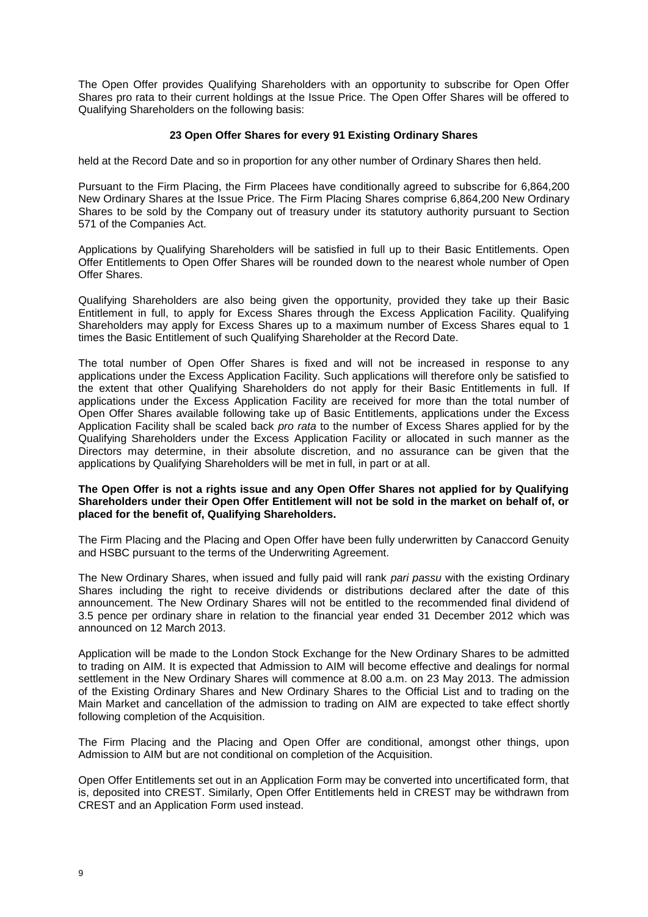The Open Offer provides Qualifying Shareholders with an opportunity to subscribe for Open Offer Shares pro rata to their current holdings at the Issue Price. The Open Offer Shares will be offered to Qualifying Shareholders on the following basis:

# **23 Open Offer Shares for every 91 Existing Ordinary Shares**

held at the Record Date and so in proportion for any other number of Ordinary Shares then held.

Pursuant to the Firm Placing, the Firm Placees have conditionally agreed to subscribe for 6,864,200 New Ordinary Shares at the Issue Price. The Firm Placing Shares comprise 6,864,200 New Ordinary Shares to be sold by the Company out of treasury under its statutory authority pursuant to Section 571 of the Companies Act.

Applications by Qualifying Shareholders will be satisfied in full up to their Basic Entitlements. Open Offer Entitlements to Open Offer Shares will be rounded down to the nearest whole number of Open Offer Shares.

Qualifying Shareholders are also being given the opportunity, provided they take up their Basic Entitlement in full, to apply for Excess Shares through the Excess Application Facility. Qualifying Shareholders may apply for Excess Shares up to a maximum number of Excess Shares equal to 1 times the Basic Entitlement of such Qualifying Shareholder at the Record Date.

The total number of Open Offer Shares is fixed and will not be increased in response to any applications under the Excess Application Facility. Such applications will therefore only be satisfied to the extent that other Qualifying Shareholders do not apply for their Basic Entitlements in full. If applications under the Excess Application Facility are received for more than the total number of Open Offer Shares available following take up of Basic Entitlements, applications under the Excess Application Facility shall be scaled back *pro rata* to the number of Excess Shares applied for by the Qualifying Shareholders under the Excess Application Facility or allocated in such manner as the Directors may determine, in their absolute discretion, and no assurance can be given that the applications by Qualifying Shareholders will be met in full, in part or at all.

#### **The Open Offer is not a rights issue and any Open Offer Shares not applied for by Qualifying Shareholders under their Open Offer Entitlement will not be sold in the market on behalf of, or placed for the benefit of, Qualifying Shareholders.**

The Firm Placing and the Placing and Open Offer have been fully underwritten by Canaccord Genuity and HSBC pursuant to the terms of the Underwriting Agreement.

The New Ordinary Shares, when issued and fully paid will rank *pari passu* with the existing Ordinary Shares including the right to receive dividends or distributions declared after the date of this announcement. The New Ordinary Shares will not be entitled to the recommended final dividend of 3.5 pence per ordinary share in relation to the financial year ended 31 December 2012 which was announced on 12 March 2013.

Application will be made to the London Stock Exchange for the New Ordinary Shares to be admitted to trading on AIM. It is expected that Admission to AIM will become effective and dealings for normal settlement in the New Ordinary Shares will commence at 8.00 a.m. on 23 May 2013. The admission of the Existing Ordinary Shares and New Ordinary Shares to the Official List and to trading on the Main Market and cancellation of the admission to trading on AIM are expected to take effect shortly following completion of the Acquisition.

The Firm Placing and the Placing and Open Offer are conditional, amongst other things, upon Admission to AIM but are not conditional on completion of the Acquisition.

Open Offer Entitlements set out in an Application Form may be converted into uncertificated form, that is, deposited into CREST. Similarly, Open Offer Entitlements held in CREST may be withdrawn from CREST and an Application Form used instead.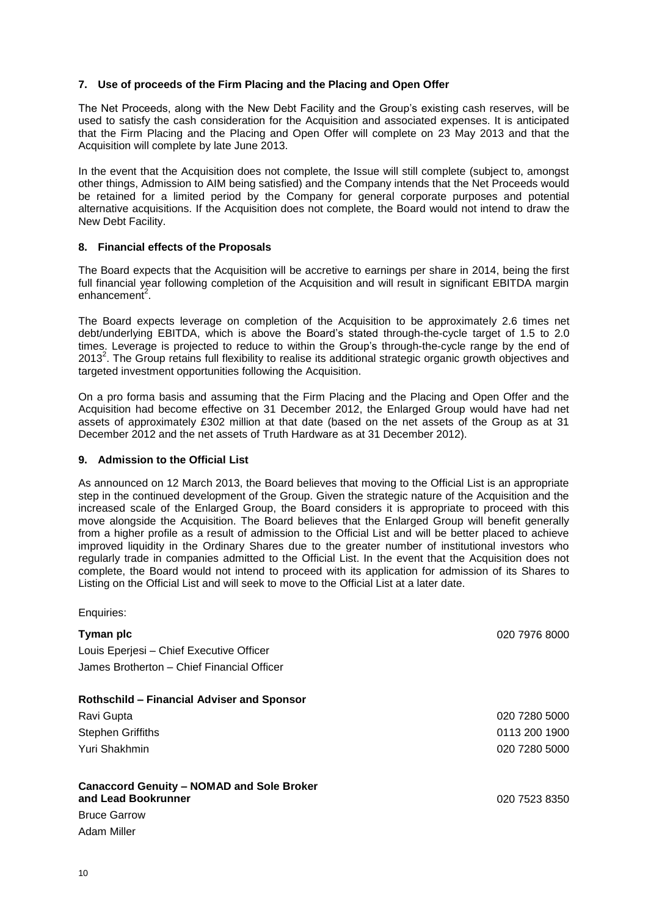# **7. Use of proceeds of the Firm Placing and the Placing and Open Offer**

The Net Proceeds, along with the New Debt Facility and the Group's existing cash reserves, will be used to satisfy the cash consideration for the Acquisition and associated expenses. It is anticipated that the Firm Placing and the Placing and Open Offer will complete on 23 May 2013 and that the Acquisition will complete by late June 2013.

In the event that the Acquisition does not complete, the Issue will still complete (subject to, amongst other things, Admission to AIM being satisfied) and the Company intends that the Net Proceeds would be retained for a limited period by the Company for general corporate purposes and potential alternative acquisitions. If the Acquisition does not complete, the Board would not intend to draw the New Debt Facility.

#### **8. Financial effects of the Proposals**

The Board expects that the Acquisition will be accretive to earnings per share in 2014, being the first full financial year following completion of the Acquisition and will result in significant EBITDA margin enhancement<sup>2</sup>.

The Board expects leverage on completion of the Acquisition to be approximately 2.6 times net debt/underlying EBITDA, which is above the Board's stated through-the-cycle target of 1.5 to 2.0 times. Leverage is projected to reduce to within the Group's through-the-cycle range by the end of 2013<sup>2</sup>. The Group retains full flexibility to realise its additional strategic organic growth objectives and targeted investment opportunities following the Acquisition.

On a pro forma basis and assuming that the Firm Placing and the Placing and Open Offer and the Acquisition had become effective on 31 December 2012, the Enlarged Group would have had net assets of approximately £302 million at that date (based on the net assets of the Group as at 31 December 2012 and the net assets of Truth Hardware as at 31 December 2012).

# **9. Admission to the Official List**

As announced on 12 March 2013, the Board believes that moving to the Official List is an appropriate step in the continued development of the Group. Given the strategic nature of the Acquisition and the increased scale of the Enlarged Group, the Board considers it is appropriate to proceed with this move alongside the Acquisition. The Board believes that the Enlarged Group will benefit generally from a higher profile as a result of admission to the Official List and will be better placed to achieve improved liquidity in the Ordinary Shares due to the greater number of institutional investors who regularly trade in companies admitted to the Official List. In the event that the Acquisition does not complete, the Board would not intend to proceed with its application for admission of its Shares to Listing on the Official List and will seek to move to the Official List at a later date.

Enquiries:

| Tyman plc                                                               | 020 7976 8000 |
|-------------------------------------------------------------------------|---------------|
| Louis Eperjesi - Chief Executive Officer                                |               |
| James Brotherton – Chief Financial Officer                              |               |
| <b>Rothschild - Financial Adviser and Sponsor</b>                       |               |
| Ravi Gupta                                                              | 020 7280 5000 |
| Stephen Griffiths                                                       | 0113 200 1900 |
| Yuri Shakhmin                                                           | 020 7280 5000 |
| <b>Canaccord Genuity - NOMAD and Sole Broker</b><br>and Lead Bookrunner | 020 7523 8350 |
| <b>Bruce Garrow</b>                                                     |               |
| Adam Miller                                                             |               |
|                                                                         |               |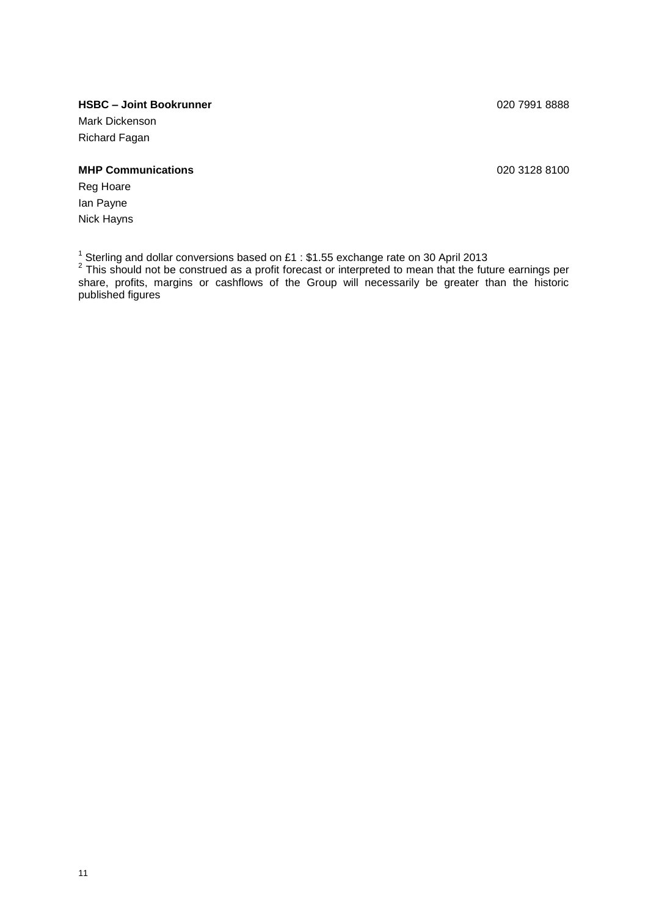# **HSBC – Joint Bookrunner** 020 7991 8888

Mark Dickenson Richard Fagan

# **MHP Communications** 020 3128 8100

Reg Hoare Ian Payne Nick Hayns

<sup>1</sup> Sterling and dollar conversions based on £1 : \$1.55 exchange rate on 30 April 2013<br><sup>2</sup> This should not be construed as a profit forecast or interpreted to mean that the future earnings per share, profits, margins or cashflows of the Group will necessarily be greater than the historic published figures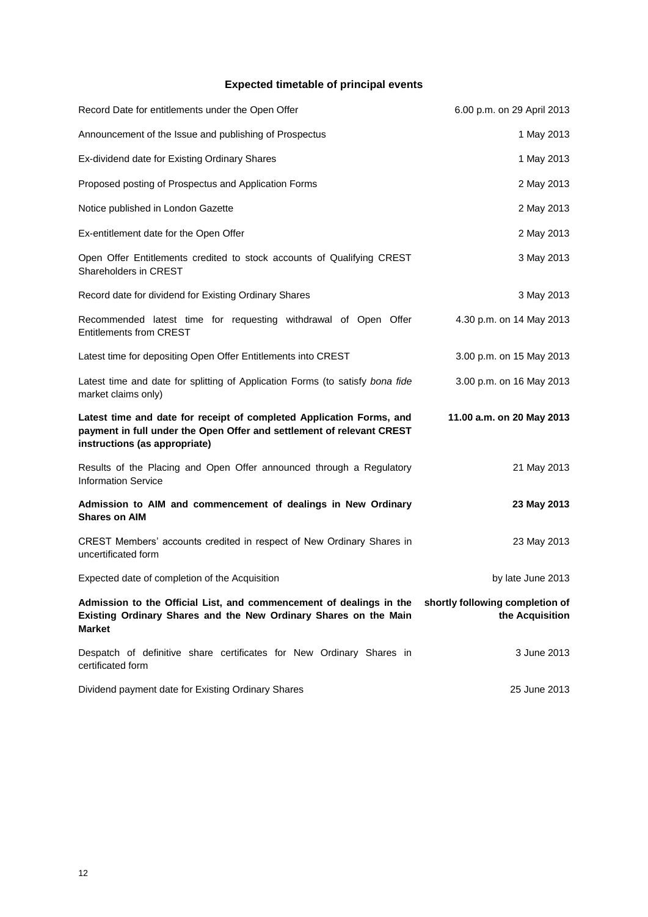# **Expected timetable of principal events**

| Record Date for entitlements under the Open Offer                                                                                                                              | 6.00 p.m. on 29 April 2013                         |
|--------------------------------------------------------------------------------------------------------------------------------------------------------------------------------|----------------------------------------------------|
| Announcement of the Issue and publishing of Prospectus                                                                                                                         | 1 May 2013                                         |
| Ex-dividend date for Existing Ordinary Shares                                                                                                                                  | 1 May 2013                                         |
| Proposed posting of Prospectus and Application Forms                                                                                                                           | 2 May 2013                                         |
| Notice published in London Gazette                                                                                                                                             | 2 May 2013                                         |
| Ex-entitlement date for the Open Offer                                                                                                                                         | 2 May 2013                                         |
| Open Offer Entitlements credited to stock accounts of Qualifying CREST<br>Shareholders in CREST                                                                                | 3 May 2013                                         |
| Record date for dividend for Existing Ordinary Shares                                                                                                                          | 3 May 2013                                         |
| Recommended latest time for requesting withdrawal of Open Offer<br><b>Entitlements from CREST</b>                                                                              | 4.30 p.m. on 14 May 2013                           |
| Latest time for depositing Open Offer Entitlements into CREST                                                                                                                  | 3.00 p.m. on 15 May 2013                           |
| Latest time and date for splitting of Application Forms (to satisfy bona fide<br>market claims only)                                                                           | 3.00 p.m. on 16 May 2013                           |
| Latest time and date for receipt of completed Application Forms, and<br>payment in full under the Open Offer and settlement of relevant CREST<br>instructions (as appropriate) | 11.00 a.m. on 20 May 2013                          |
| Results of the Placing and Open Offer announced through a Regulatory<br><b>Information Service</b>                                                                             | 21 May 2013                                        |
| Admission to AIM and commencement of dealings in New Ordinary<br><b>Shares on AIM</b>                                                                                          | 23 May 2013                                        |
| CREST Members' accounts credited in respect of New Ordinary Shares in<br>uncertificated form                                                                                   | 23 May 2013                                        |
| Expected date of completion of the Acquisition                                                                                                                                 | by late June 2013                                  |
| Admission to the Official List, and commencement of dealings in the<br>Existing Ordinary Shares and the New Ordinary Shares on the Main<br><b>Market</b>                       | shortly following completion of<br>the Acquisition |
| Despatch of definitive share certificates for New Ordinary Shares in<br>certificated form                                                                                      | 3 June 2013                                        |
| Dividend payment date for Existing Ordinary Shares                                                                                                                             | 25 June 2013                                       |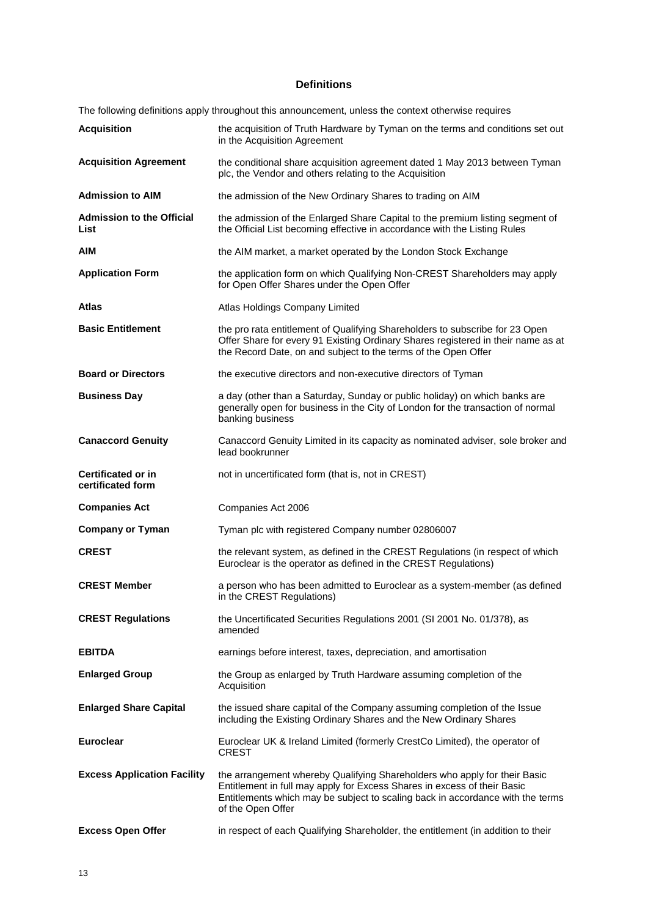# **Definitions**

The following definitions apply throughout this announcement, unless the context otherwise requires

| <b>Acquisition</b>                             | the acquisition of Truth Hardware by Tyman on the terms and conditions set out<br>in the Acquisition Agreement                                                                                                                                               |
|------------------------------------------------|--------------------------------------------------------------------------------------------------------------------------------------------------------------------------------------------------------------------------------------------------------------|
| <b>Acquisition Agreement</b>                   | the conditional share acquisition agreement dated 1 May 2013 between Tyman<br>plc, the Vendor and others relating to the Acquisition                                                                                                                         |
| <b>Admission to AIM</b>                        | the admission of the New Ordinary Shares to trading on AIM                                                                                                                                                                                                   |
| <b>Admission to the Official</b><br>List       | the admission of the Enlarged Share Capital to the premium listing segment of<br>the Official List becoming effective in accordance with the Listing Rules                                                                                                   |
| AIM                                            | the AIM market, a market operated by the London Stock Exchange                                                                                                                                                                                               |
| <b>Application Form</b>                        | the application form on which Qualifying Non-CREST Shareholders may apply<br>for Open Offer Shares under the Open Offer                                                                                                                                      |
| Atlas                                          | Atlas Holdings Company Limited                                                                                                                                                                                                                               |
| <b>Basic Entitlement</b>                       | the pro rata entitlement of Qualifying Shareholders to subscribe for 23 Open<br>Offer Share for every 91 Existing Ordinary Shares registered in their name as at<br>the Record Date, on and subject to the terms of the Open Offer                           |
| <b>Board or Directors</b>                      | the executive directors and non-executive directors of Tyman                                                                                                                                                                                                 |
| <b>Business Day</b>                            | a day (other than a Saturday, Sunday or public holiday) on which banks are<br>generally open for business in the City of London for the transaction of normal<br>banking business                                                                            |
| <b>Canaccord Genuity</b>                       | Canaccord Genuity Limited in its capacity as nominated adviser, sole broker and<br>lead bookrunner                                                                                                                                                           |
| <b>Certificated or in</b><br>certificated form | not in uncertificated form (that is, not in CREST)                                                                                                                                                                                                           |
| <b>Companies Act</b>                           | Companies Act 2006                                                                                                                                                                                                                                           |
| <b>Company or Tyman</b>                        | Tyman plc with registered Company number 02806007                                                                                                                                                                                                            |
| <b>CREST</b>                                   | the relevant system, as defined in the CREST Regulations (in respect of which<br>Euroclear is the operator as defined in the CREST Regulations)                                                                                                              |
| <b>CREST Member</b>                            | a person who has been admitted to Euroclear as a system-member (as defined<br>in the CREST Regulations)                                                                                                                                                      |
| <b>CREST Regulations</b>                       | the Uncertificated Securities Regulations 2001 (SI 2001 No. 01/378), as<br>amended                                                                                                                                                                           |
| <b>EBITDA</b>                                  | earnings before interest, taxes, depreciation, and amortisation                                                                                                                                                                                              |
| <b>Enlarged Group</b>                          | the Group as enlarged by Truth Hardware assuming completion of the<br>Acquisition                                                                                                                                                                            |
| <b>Enlarged Share Capital</b>                  | the issued share capital of the Company assuming completion of the Issue<br>including the Existing Ordinary Shares and the New Ordinary Shares                                                                                                               |
| <b>Euroclear</b>                               | Euroclear UK & Ireland Limited (formerly CrestCo Limited), the operator of<br><b>CREST</b>                                                                                                                                                                   |
| <b>Excess Application Facility</b>             | the arrangement whereby Qualifying Shareholders who apply for their Basic<br>Entitlement in full may apply for Excess Shares in excess of their Basic<br>Entitlements which may be subject to scaling back in accordance with the terms<br>of the Open Offer |
| <b>Excess Open Offer</b>                       | in respect of each Qualifying Shareholder, the entitlement (in addition to their                                                                                                                                                                             |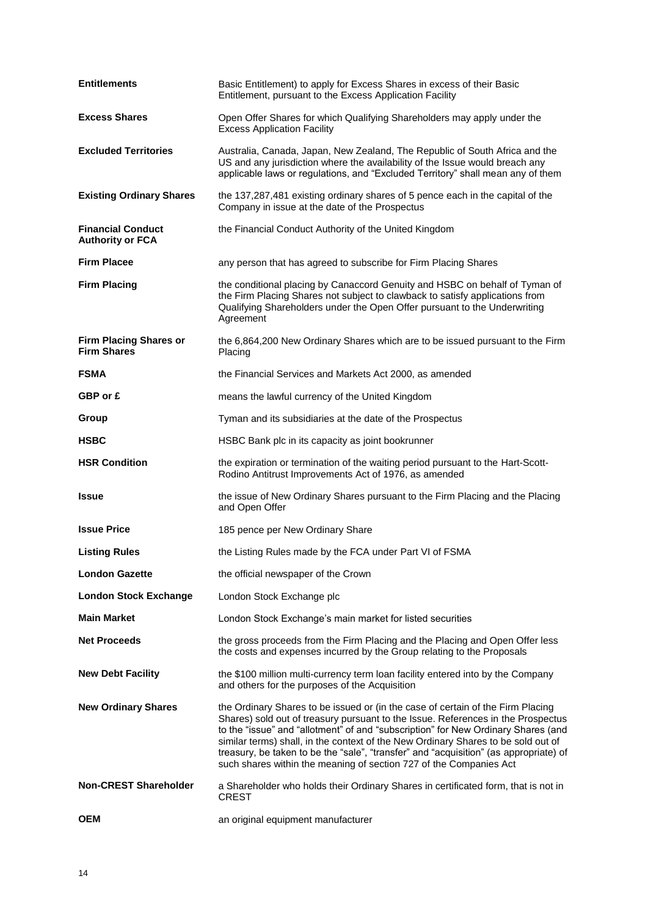| <b>Entitlements</b>                                 | Basic Entitlement) to apply for Excess Shares in excess of their Basic<br>Entitlement, pursuant to the Excess Application Facility                                                                                                                                                                                                                                                                                                                                                                           |
|-----------------------------------------------------|--------------------------------------------------------------------------------------------------------------------------------------------------------------------------------------------------------------------------------------------------------------------------------------------------------------------------------------------------------------------------------------------------------------------------------------------------------------------------------------------------------------|
| <b>Excess Shares</b>                                | Open Offer Shares for which Qualifying Shareholders may apply under the<br><b>Excess Application Facility</b>                                                                                                                                                                                                                                                                                                                                                                                                |
| <b>Excluded Territories</b>                         | Australia, Canada, Japan, New Zealand, The Republic of South Africa and the<br>US and any jurisdiction where the availability of the Issue would breach any<br>applicable laws or regulations, and "Excluded Territory" shall mean any of them                                                                                                                                                                                                                                                               |
| <b>Existing Ordinary Shares</b>                     | the 137,287,481 existing ordinary shares of 5 pence each in the capital of the<br>Company in issue at the date of the Prospectus                                                                                                                                                                                                                                                                                                                                                                             |
| <b>Financial Conduct</b><br><b>Authority or FCA</b> | the Financial Conduct Authority of the United Kingdom                                                                                                                                                                                                                                                                                                                                                                                                                                                        |
| <b>Firm Placee</b>                                  | any person that has agreed to subscribe for Firm Placing Shares                                                                                                                                                                                                                                                                                                                                                                                                                                              |
| <b>Firm Placing</b>                                 | the conditional placing by Canaccord Genuity and HSBC on behalf of Tyman of<br>the Firm Placing Shares not subject to clawback to satisfy applications from<br>Qualifying Shareholders under the Open Offer pursuant to the Underwriting<br>Agreement                                                                                                                                                                                                                                                        |
| <b>Firm Placing Shares or</b><br><b>Firm Shares</b> | the 6,864,200 New Ordinary Shares which are to be issued pursuant to the Firm<br>Placing                                                                                                                                                                                                                                                                                                                                                                                                                     |
| <b>FSMA</b>                                         | the Financial Services and Markets Act 2000, as amended                                                                                                                                                                                                                                                                                                                                                                                                                                                      |
| GBP or £                                            | means the lawful currency of the United Kingdom                                                                                                                                                                                                                                                                                                                                                                                                                                                              |
| Group                                               | Tyman and its subsidiaries at the date of the Prospectus                                                                                                                                                                                                                                                                                                                                                                                                                                                     |
| <b>HSBC</b>                                         | HSBC Bank plc in its capacity as joint bookrunner                                                                                                                                                                                                                                                                                                                                                                                                                                                            |
| <b>HSR Condition</b>                                | the expiration or termination of the waiting period pursuant to the Hart-Scott-<br>Rodino Antitrust Improvements Act of 1976, as amended                                                                                                                                                                                                                                                                                                                                                                     |
| <b>Issue</b>                                        | the issue of New Ordinary Shares pursuant to the Firm Placing and the Placing<br>and Open Offer                                                                                                                                                                                                                                                                                                                                                                                                              |
| <b>Issue Price</b>                                  | 185 pence per New Ordinary Share                                                                                                                                                                                                                                                                                                                                                                                                                                                                             |
| <b>Listing Rules</b>                                | the Listing Rules made by the FCA under Part VI of FSMA                                                                                                                                                                                                                                                                                                                                                                                                                                                      |
| <b>London Gazette</b>                               | the official newspaper of the Crown                                                                                                                                                                                                                                                                                                                                                                                                                                                                          |
| <b>London Stock Exchange</b>                        | London Stock Exchange plc                                                                                                                                                                                                                                                                                                                                                                                                                                                                                    |
| <b>Main Market</b>                                  | London Stock Exchange's main market for listed securities                                                                                                                                                                                                                                                                                                                                                                                                                                                    |
| <b>Net Proceeds</b>                                 | the gross proceeds from the Firm Placing and the Placing and Open Offer less<br>the costs and expenses incurred by the Group relating to the Proposals                                                                                                                                                                                                                                                                                                                                                       |
| <b>New Debt Facility</b>                            | the \$100 million multi-currency term loan facility entered into by the Company<br>and others for the purposes of the Acquisition                                                                                                                                                                                                                                                                                                                                                                            |
| <b>New Ordinary Shares</b>                          | the Ordinary Shares to be issued or (in the case of certain of the Firm Placing<br>Shares) sold out of treasury pursuant to the Issue. References in the Prospectus<br>to the "issue" and "allotment" of and "subscription" for New Ordinary Shares (and<br>similar terms) shall, in the context of the New Ordinary Shares to be sold out of<br>treasury, be taken to be the "sale", "transfer" and "acquisition" (as appropriate) of<br>such shares within the meaning of section 727 of the Companies Act |
| <b>Non-CREST Shareholder</b>                        | a Shareholder who holds their Ordinary Shares in certificated form, that is not in<br><b>CREST</b>                                                                                                                                                                                                                                                                                                                                                                                                           |
| <b>OEM</b>                                          | an original equipment manufacturer                                                                                                                                                                                                                                                                                                                                                                                                                                                                           |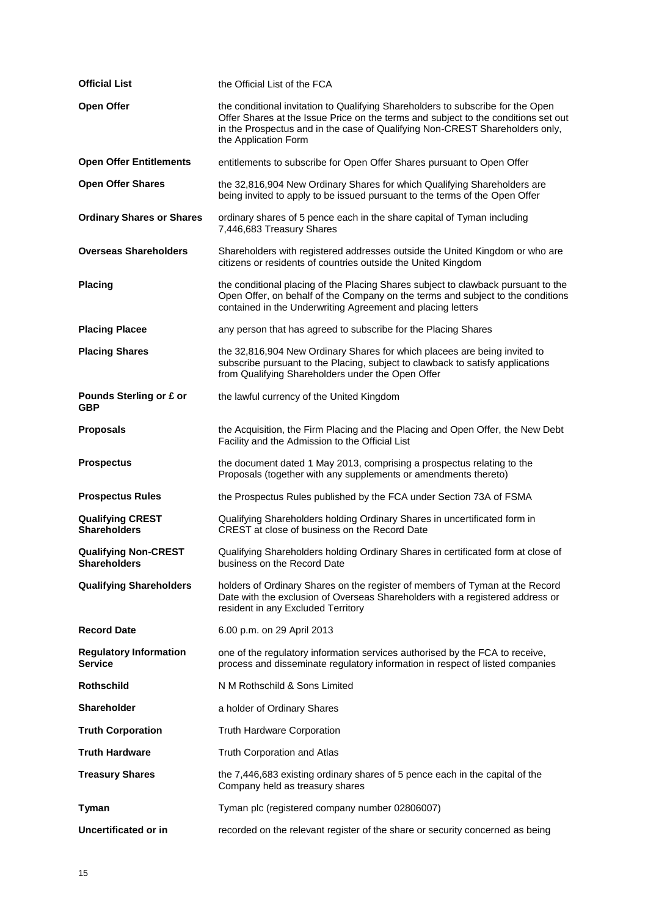| <b>Official List</b>                               | the Official List of the FCA                                                                                                                                                                                                                                                  |
|----------------------------------------------------|-------------------------------------------------------------------------------------------------------------------------------------------------------------------------------------------------------------------------------------------------------------------------------|
| Open Offer                                         | the conditional invitation to Qualifying Shareholders to subscribe for the Open<br>Offer Shares at the Issue Price on the terms and subject to the conditions set out<br>in the Prospectus and in the case of Qualifying Non-CREST Shareholders only,<br>the Application Form |
| <b>Open Offer Entitlements</b>                     | entitlements to subscribe for Open Offer Shares pursuant to Open Offer                                                                                                                                                                                                        |
| <b>Open Offer Shares</b>                           | the 32,816,904 New Ordinary Shares for which Qualifying Shareholders are<br>being invited to apply to be issued pursuant to the terms of the Open Offer                                                                                                                       |
| <b>Ordinary Shares or Shares</b>                   | ordinary shares of 5 pence each in the share capital of Tyman including<br>7,446,683 Treasury Shares                                                                                                                                                                          |
| <b>Overseas Shareholders</b>                       | Shareholders with registered addresses outside the United Kingdom or who are<br>citizens or residents of countries outside the United Kingdom                                                                                                                                 |
| <b>Placing</b>                                     | the conditional placing of the Placing Shares subject to clawback pursuant to the<br>Open Offer, on behalf of the Company on the terms and subject to the conditions<br>contained in the Underwriting Agreement and placing letters                                           |
| <b>Placing Placee</b>                              | any person that has agreed to subscribe for the Placing Shares                                                                                                                                                                                                                |
| <b>Placing Shares</b>                              | the 32,816,904 New Ordinary Shares for which placees are being invited to<br>subscribe pursuant to the Placing, subject to clawback to satisfy applications<br>from Qualifying Shareholders under the Open Offer                                                              |
| Pounds Sterling or £ or<br>GBP                     | the lawful currency of the United Kingdom                                                                                                                                                                                                                                     |
| <b>Proposals</b>                                   | the Acquisition, the Firm Placing and the Placing and Open Offer, the New Debt<br>Facility and the Admission to the Official List                                                                                                                                             |
| <b>Prospectus</b>                                  | the document dated 1 May 2013, comprising a prospectus relating to the<br>Proposals (together with any supplements or amendments thereto)                                                                                                                                     |
| <b>Prospectus Rules</b>                            | the Prospectus Rules published by the FCA under Section 73A of FSMA                                                                                                                                                                                                           |
| <b>Qualifying CREST</b><br><b>Shareholders</b>     | Qualifying Shareholders holding Ordinary Shares in uncertificated form in<br>CREST at close of business on the Record Date                                                                                                                                                    |
| <b>Qualifying Non-CREST</b><br><b>Shareholders</b> | Qualifying Shareholders holding Ordinary Shares in certificated form at close of<br>business on the Record Date                                                                                                                                                               |
| <b>Qualifying Shareholders</b>                     | holders of Ordinary Shares on the register of members of Tyman at the Record<br>Date with the exclusion of Overseas Shareholders with a registered address or<br>resident in any Excluded Territory                                                                           |
| <b>Record Date</b>                                 | 6.00 p.m. on 29 April 2013                                                                                                                                                                                                                                                    |
| <b>Regulatory Information</b><br><b>Service</b>    | one of the regulatory information services authorised by the FCA to receive,<br>process and disseminate regulatory information in respect of listed companies                                                                                                                 |
| <b>Rothschild</b>                                  | N M Rothschild & Sons Limited                                                                                                                                                                                                                                                 |
| <b>Shareholder</b>                                 | a holder of Ordinary Shares                                                                                                                                                                                                                                                   |
| <b>Truth Corporation</b>                           | <b>Truth Hardware Corporation</b>                                                                                                                                                                                                                                             |
| <b>Truth Hardware</b>                              | Truth Corporation and Atlas                                                                                                                                                                                                                                                   |
| <b>Treasury Shares</b>                             | the 7,446,683 existing ordinary shares of 5 pence each in the capital of the<br>Company held as treasury shares                                                                                                                                                               |
| Tyman                                              | Tyman plc (registered company number 02806007)                                                                                                                                                                                                                                |
| Uncertificated or in                               | recorded on the relevant register of the share or security concerned as being                                                                                                                                                                                                 |